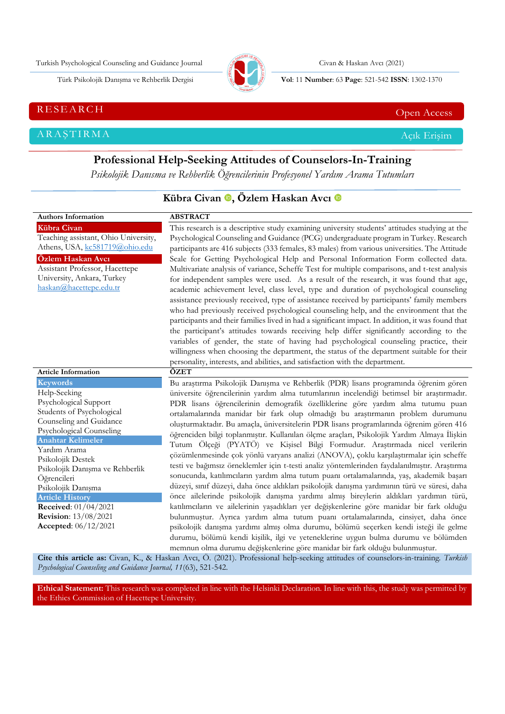Turkish Psychological Counseling and Guidance Journal Civan & Haskan Avcı (2021)



Türk Psikolojik Danışma ve Rehberlik Dergisi **Vol**: 11 **Number**: 63 **Page** : 521-542 **ISSN**: 1302-1370

RESEARCH CHE Open Access And the Contract of the Contract of the Contract of the Contract of the Contract of the Contract of the Contract of the Contract of the Contract of the Contract of the Contract of the Contract of t

ARAŞTIRMA Açık Erişim

**Professional Help-Seeking Attitudes of Counselors-In-Training** *Psikolojik Danısma ve Rehberlik Öğrencilerinin Profesyonel Yardım Arama Tutumları*

|                                                                                                                                                                                                                                                                                                                                                                                                | Kübra Civan <sup>®</sup> , Özlem Haskan Avcı <sup>®</sup>                                                                                                                                                                                                                                                                                                                                                                                                                                                                                                                                                                                                                                                                                                                                                                                                                                                                                                                                                                                                                                                                                                                                                                                                                                                                                                                                                                                                                   |
|------------------------------------------------------------------------------------------------------------------------------------------------------------------------------------------------------------------------------------------------------------------------------------------------------------------------------------------------------------------------------------------------|-----------------------------------------------------------------------------------------------------------------------------------------------------------------------------------------------------------------------------------------------------------------------------------------------------------------------------------------------------------------------------------------------------------------------------------------------------------------------------------------------------------------------------------------------------------------------------------------------------------------------------------------------------------------------------------------------------------------------------------------------------------------------------------------------------------------------------------------------------------------------------------------------------------------------------------------------------------------------------------------------------------------------------------------------------------------------------------------------------------------------------------------------------------------------------------------------------------------------------------------------------------------------------------------------------------------------------------------------------------------------------------------------------------------------------------------------------------------------------|
| <b>Authors Information</b>                                                                                                                                                                                                                                                                                                                                                                     | <b>ABSTRACT</b>                                                                                                                                                                                                                                                                                                                                                                                                                                                                                                                                                                                                                                                                                                                                                                                                                                                                                                                                                                                                                                                                                                                                                                                                                                                                                                                                                                                                                                                             |
| Kübra Civan<br>Teaching assistant, Ohio University,<br>Athens, USA, kc581719@ohio.edu<br>Özlem Haskan Avcı<br>Assistant Professor, Hacettepe<br>University, Ankara, Turkey<br>haskan@hacettepe.edu.tr                                                                                                                                                                                          | This research is a descriptive study examining university students' attitudes studying at the<br>Psychological Counseling and Guidance (PCG) undergraduate program in Turkey. Research<br>participants are 416 subjects (333 females, 83 males) from various universities. The Attitude<br>Scale for Getting Psychological Help and Personal Information Form collected data.<br>Multivariate analysis of variance, Scheffe Test for multiple comparisons, and t-test analysis<br>for independent samples were used. As a result of the research, it was found that age,<br>academic achievement level, class level, type and duration of psychological counseling<br>assistance previously received, type of assistance received by participants' family members<br>who had previously received psychological counseling help, and the environment that the<br>participants and their families lived in had a significant impact. In addition, it was found that<br>the participant's attitudes towards receiving help differ significantly according to the<br>variables of gender, the state of having had psychological counseling practice, their<br>willingness when choosing the department, the status of the department suitable for their<br>personality, interests, and abilities, and satisfaction with the department.                                                                                                                                         |
| <b>Article Information</b>                                                                                                                                                                                                                                                                                                                                                                     | ÖZET                                                                                                                                                                                                                                                                                                                                                                                                                                                                                                                                                                                                                                                                                                                                                                                                                                                                                                                                                                                                                                                                                                                                                                                                                                                                                                                                                                                                                                                                        |
| <b>Keywords</b><br>Help-Seeking<br>Psychological Support<br>Students of Psychological<br>Counseling and Guidance<br>Psychological Counseling<br><b>Anahtar Kelimeler</b><br>Yardım Arama<br>Psikolojik Destek<br>Psikolojik Danışma ve Rehberlik<br>Öğrencileri<br>Psikolojik Danışma<br><b>Article History</b><br>Received: 01/04/2021<br><b>Revision:</b> 13/08/2021<br>Accepted: 06/12/2021 | Bu araştırma Psikolojik Danışma ve Rehberlik (PDR) lisans programında öğrenim gören<br>üniversite öğrencilerinin yardım alma tutumlarının incelendiği betimsel bir araştırmadır.<br>PDR lisans öğrencilerinin demografik özelliklerine göre yardım alma tutumu puan<br>ortalamalarında manidar bir fark olup olmadığı bu araştırmanın problem durumunu<br>oluşturmaktadır. Bu amaçla, üniversitelerin PDR lisans programlarında öğrenim gören 416<br>öğrenciden bilgi toplanmıştır. Kullanılan ölçme araçları, Psikolojik Yardım Almaya İlişkin<br>Tutum Ölçeği (PYATÖ) ve Kişisel Bilgi Formudur. Araştırmada nicel verilerin<br>çözümlenmesinde çok yönlü varyans analizi (ANOVA), çoklu karşılaştırmalar için scheffe<br>testi ve bağımsız örneklemler için t-testi analiz yöntemlerinden faydalanılmıştır. Araştırma<br>sonucunda, katılımcıların yardım alma tutum puanı ortalamalarında, yaş, akademik başarı<br>düzeyi, sınıf düzeyi, daha önce aldıkları psikolojik danışma yardımının türü ve süresi, daha<br>önce ailelerinde psikolojik danışma yardımı almış bireylerin aldıkları yardımın türü,<br>katılımcıların ve ailelerinin yaşadıkları yer değişkenlerine göre manidar bir fark olduğu<br>bulunmuştur. Ayrıca yardım alma tutum puanı ortalamalarında, cinsiyet, daha önce<br>psikolojik danışma yardımı almış olma durumu, bölümü seçerken kendi isteği ile gelme<br>durumu, bölümü kendi kişilik, ilgi ve yeteneklerine uygun bulma durumu ve bölümden |
|                                                                                                                                                                                                                                                                                                                                                                                                | memnun olma durumu değişkenlerine göre manidar bir fark olduğu bulunmuştur.                                                                                                                                                                                                                                                                                                                                                                                                                                                                                                                                                                                                                                                                                                                                                                                                                                                                                                                                                                                                                                                                                                                                                                                                                                                                                                                                                                                                 |

**Cite this article as:** Civan, K., & Haskan Avcı, Ö. (2021). Professional help-seeking attitudes of counselors-in-training*. Turkish Psychological Counseling and Guidance Journal, 11*(63), 521-542.

**Ethical Statement:** This research was completed in line with the Helsinki Declaration. In line with this, the study was permitted by the Ethics Commission of Hacettepe University.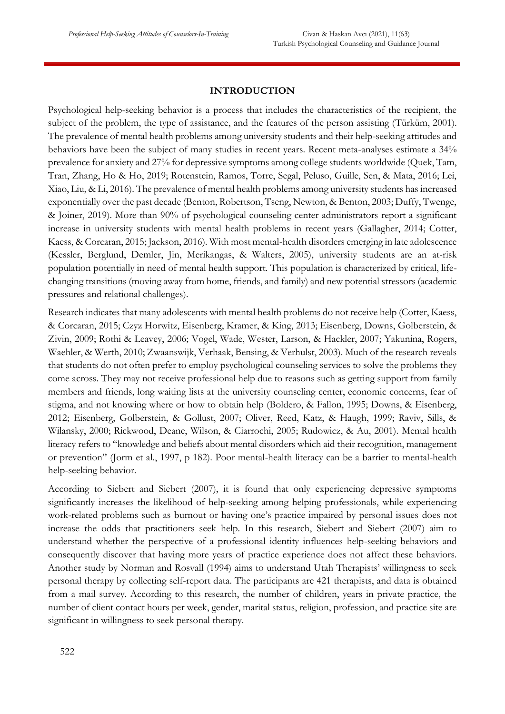#### **INTRODUCTION**

Psychological help-seeking behavior is a process that includes the characteristics of the recipient, the subject of the problem, the type of assistance, and the features of the person assisting (Türküm, 2001). The prevalence of mental health problems among university students and their help-seeking attitudes and behaviors have been the subject of many studies in recent years. Recent meta-analyses estimate a 34% prevalence for anxiety and 27% for depressive symptoms among college students worldwide (Quek, Tam, Tran, Zhang, Ho & Ho, 2019; Rotenstein, Ramos, Torre, Segal, Peluso, Guille, Sen, & Mata, 2016; Lei, Xiao, Liu, & Li, 2016). The prevalence of mental health problems among university students has increased exponentially over the past decade (Benton, Robertson, Tseng, Newton, & Benton, 2003; Duffy, Twenge, & Joiner, 2019). More than 90% of psychological counseling center administrators report a significant increase in university students with mental health problems in recent years (Gallagher, 2014; Cotter, Kaess, & Corcaran, 2015; Jackson, 2016). With most mental-health disorders emerging in late adolescence (Kessler, Berglund, Demler, Jin, Merikangas, & Walters, 2005), university students are an at-risk population potentially in need of mental health support. This population is characterized by critical, lifechanging transitions (moving away from home, friends, and family) and new potential stressors (academic pressures and relational challenges).

Research indicates that many adolescents with mental health problems do not receive help (Cotter, Kaess, & Corcaran, 2015; Czyz Horwitz, Eisenberg, Kramer, & King, 2013; Eisenberg, Downs, Golberstein, & Zivin, 2009; Rothi & Leavey, 2006; Vogel, Wade, Wester, Larson, & Hackler, 2007; Yakunina, Rogers, Waehler, & Werth, 2010; Zwaanswijk, Verhaak, Bensing, & Verhulst, 2003). Much of the research reveals that students do not often prefer to employ psychological counseling services to solve the problems they come across. They may not receive professional help due to reasons such as getting support from family members and friends, long waiting lists at the university counseling center, economic concerns, fear of stigma, and not knowing where or how to obtain help (Boldero, & Fallon, 1995; Downs, & Eisenberg, 2012; Eisenberg, Golberstein, & Gollust, 2007; Oliver, Reed, Katz, & Haugh, 1999; Raviv, Sills, & Wilansky, 2000; Rickwood, Deane, Wilson, & Ciarrochi, 2005; Rudowicz, & Au, 2001). Mental health literacy refers to "knowledge and beliefs about mental disorders which aid their recognition, management or prevention" (Jorm et al., 1997, p 182). Poor mental-health literacy can be a barrier to mental-health help-seeking behavior.

According to Siebert and Siebert (2007), it is found that only experiencing depressive symptoms significantly increases the likelihood of help-seeking among helping professionals, while experiencing work-related problems such as burnout or having one's practice impaired by personal issues does not increase the odds that practitioners seek help. In this research, Siebert and Siebert (2007) aim to understand whether the perspective of a professional identity influences help-seeking behaviors and consequently discover that having more years of practice experience does not affect these behaviors. Another study by Norman and Rosvall (1994) aims to understand Utah Therapists' willingness to seek personal therapy by collecting self-report data. The participants are 421 therapists, and data is obtained from a mail survey. According to this research, the number of children, years in private practice, the number of client contact hours per week, gender, marital status, religion, profession, and practice site are significant in willingness to seek personal therapy.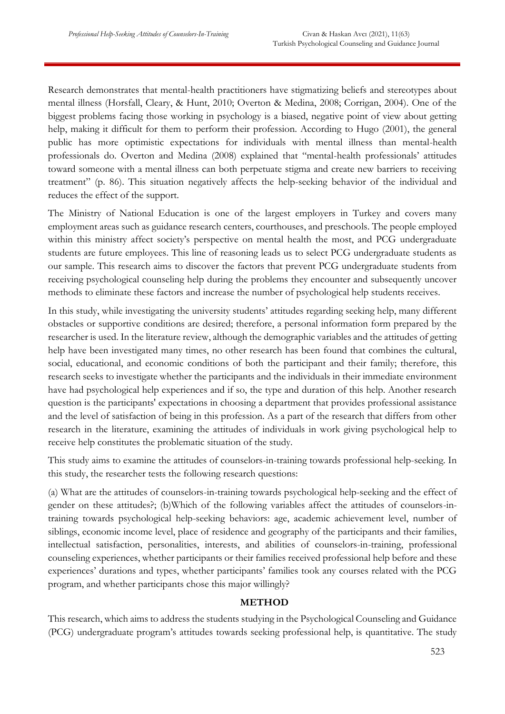Research demonstrates that mental-health practitioners have stigmatizing beliefs and stereotypes about mental illness (Horsfall, Cleary, & Hunt, 2010; Overton & Medina, 2008; Corrigan, 2004). One of the biggest problems facing those working in psychology is a biased, negative point of view about getting help, making it difficult for them to perform their profession. According to Hugo (2001), the general public has more optimistic expectations for individuals with mental illness than mental-health professionals do. Overton and Medina (2008) explained that "mental-health professionals' attitudes toward someone with a mental illness can both perpetuate stigma and create new barriers to receiving treatment" (p. 86). This situation negatively affects the help-seeking behavior of the individual and reduces the effect of the support.

The Ministry of National Education is one of the largest employers in Turkey and covers many employment areas such as guidance research centers, courthouses, and preschools. The people employed within this ministry affect society's perspective on mental health the most, and PCG undergraduate students are future employees. This line of reasoning leads us to select PCG undergraduate students as our sample. This research aims to discover the factors that prevent PCG undergraduate students from receiving psychological counseling help during the problems they encounter and subsequently uncover methods to eliminate these factors and increase the number of psychological help students receives.

In this study, while investigating the university students' attitudes regarding seeking help, many different obstacles or supportive conditions are desired; therefore, a personal information form prepared by the researcher is used. In the literature review, although the demographic variables and the attitudes of getting help have been investigated many times, no other research has been found that combines the cultural, social, educational, and economic conditions of both the participant and their family; therefore, this research seeks to investigate whether the participants and the individuals in their immediate environment have had psychological help experiences and if so, the type and duration of this help. Another research question is the participants' expectations in choosing a department that provides professional assistance and the level of satisfaction of being in this profession. As a part of the research that differs from other research in the literature, examining the attitudes of individuals in work giving psychological help to receive help constitutes the problematic situation of the study.

This study aims to examine the attitudes of counselors-in-training towards professional help-seeking. In this study, the researcher tests the following research questions:

(a) What are the attitudes of counselors-in-training towards psychological help-seeking and the effect of gender on these attitudes?; (b)Which of the following variables affect the attitudes of counselors-intraining towards psychological help-seeking behaviors: age, academic achievement level, number of siblings, economic income level, place of residence and geography of the participants and their families, intellectual satisfaction, personalities, interests, and abilities of counselors-in-training, professional counseling experiences, whether participants or their families received professional help before and these experiences' durations and types, whether participants' families took any courses related with the PCG program, and whether participants chose this major willingly?

# **METHOD**

This research, which aims to address the students studying in the Psychological Counseling and Guidance (PCG) undergraduate program's attitudes towards seeking professional help, is quantitative. The study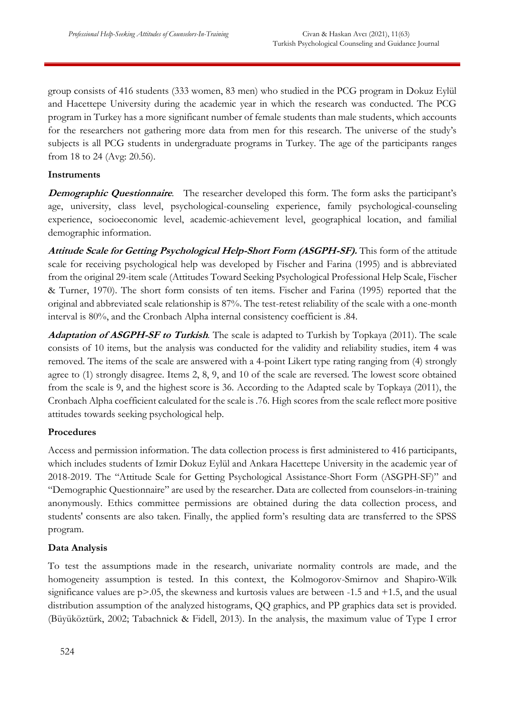group consists of 416 students (333 women, 83 men) who studied in the PCG program in Dokuz Eylül and Hacettepe University during the academic year in which the research was conducted. The PCG program in Turkey has a more significant number of female students than male students, which accounts for the researchers not gathering more data from men for this research. The universe of the study's subjects is all PCG students in undergraduate programs in Turkey. The age of the participants ranges from 18 to 24 (Avg: 20.56).

# **Instruments**

**Demographic Questionnaire.** The researcher developed this form. The form asks the participant's age, university, class level, psychological-counseling experience, family psychological-counseling experience, socioeconomic level, academic-achievement level, geographical location, and familial demographic information.

**Attitude Scale for Getting Psychological Help-Short Form (ASGPH-SF).** This form of the attitude scale for receiving psychological help was developed by Fischer and Farina (1995) and is abbreviated from the original 29-item scale (Attitudes Toward Seeking Psychological Professional Help Scale, Fischer & Turner, 1970). The short form consists of ten items. Fischer and Farina (1995) reported that the original and abbreviated scale relationship is 87%. The test-retest reliability of the scale with a one-month interval is 80%, and the Cronbach Alpha internal consistency coefficient is .84.

**Adaptation of ASGPH-SF to Turkish**. The scale is adapted to Turkish by Topkaya (2011). The scale consists of 10 items, but the analysis was conducted for the validity and reliability studies, item 4 was removed. The items of the scale are answered with a 4-point Likert type rating ranging from (4) strongly agree to (1) strongly disagree. Items 2, 8, 9, and 10 of the scale are reversed. The lowest score obtained from the scale is 9, and the highest score is 36. According to the Adapted scale by Topkaya (2011), the Cronbach Alpha coefficient calculated for the scale is .76. High scores from the scale reflect more positive attitudes towards seeking psychological help.

### **Procedures**

Access and permission information. The data collection process is first administered to 416 participants, which includes students of Izmir Dokuz Eylül and Ankara Hacettepe University in the academic year of 2018-2019. The "Attitude Scale for Getting Psychological Assistance-Short Form (ASGPH-SF)" and "Demographic Questionnaire" are used by the researcher. Data are collected from counselors-in-training anonymously. Ethics committee permissions are obtained during the data collection process, and students' consents are also taken. Finally, the applied form's resulting data are transferred to the SPSS program.

### **Data Analysis**

To test the assumptions made in the research, univariate normality controls are made, and the homogeneity assumption is tested. In this context, the Kolmogorov-Smirnov and Shapiro-Wilk significance values are  $p$ >.05, the skewness and kurtosis values are between -1.5 and +1.5, and the usual distribution assumption of the analyzed histograms, QQ graphics, and PP graphics data set is provided. (Büyüköztürk, 2002; Tabachnick & Fidell, 2013). In the analysis, the maximum value of Type I error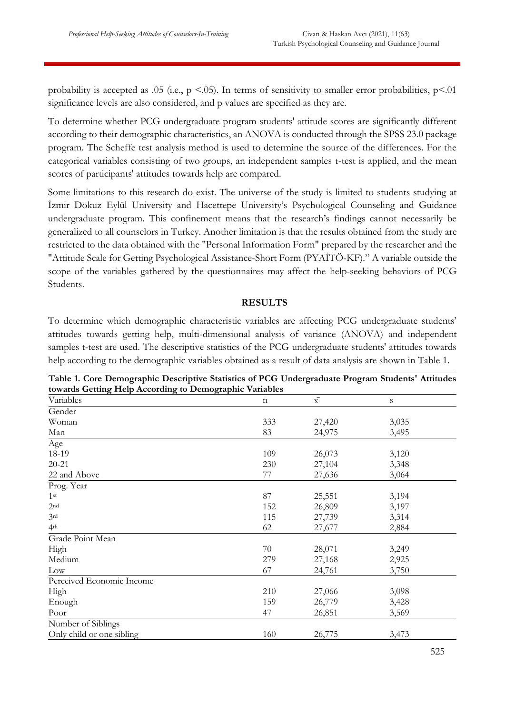probability is accepted as .05 (i.e.,  $p \le 0.05$ ). In terms of sensitivity to smaller error probabilities,  $p \le 0.01$ significance levels are also considered, and p values are specified as they are.

To determine whether PCG undergraduate program students' attitude scores are significantly different according to their demographic characteristics, an ANOVA is conducted through the SPSS 23.0 package program. The Scheffe test analysis method is used to determine the source of the differences. For the categorical variables consisting of two groups, an independent samples t-test is applied, and the mean scores of participants' attitudes towards help are compared.

Some limitations to this research do exist. The universe of the study is limited to students studying at İzmir Dokuz Eylül University and Hacettepe University's Psychological Counseling and Guidance undergraduate program. This confinement means that the research's findings cannot necessarily be generalized to all counselors in Turkey. Another limitation is that the results obtained from the study are restricted to the data obtained with the "Personal Information Form" prepared by the researcher and the "Attitude Scale for Getting Psychological Assistance-Short Form (PYAİTÖ-KF)." A variable outside the scope of the variables gathered by the questionnaires may affect the help-seeking behaviors of PCG Students.

### **RESULTS**

To determine which demographic characteristic variables are affecting PCG undergraduate students' attitudes towards getting help, multi-dimensional analysis of variance (ANOVA) and independent samples t-test are used. The descriptive statistics of the PCG undergraduate students' attitudes towards help according to the demographic variables obtained as a result of data analysis are shown in Table 1.

| $\frac{1}{2}$ $\frac{1}{2}$ $\frac{1}{2}$ $\frac{1}{2}$ $\frac{1}{2}$ $\frac{1}{2}$ $\frac{1}{2}$ $\frac{1}{2}$ $\frac{1}{2}$ $\frac{1}{2}$ $\frac{1}{2}$ $\frac{1}{2}$ $\frac{1}{2}$ $\frac{1}{2}$ $\frac{1}{2}$ $\frac{1}{2}$ $\frac{1}{2}$ $\frac{1}{2}$ $\frac{1}{2}$ $\frac{1}{2}$ $\frac{1}{2}$ $\frac{1}{2}$<br>$\sim$ $\sim$ $\sim$ $\sim$ $\sim$<br>$\cdots$<br>towards Getting Help According to Demographic Variables |     |                    |       |  |  |  |  |
|----------------------------------------------------------------------------------------------------------------------------------------------------------------------------------------------------------------------------------------------------------------------------------------------------------------------------------------------------------------------------------------------------------------------------------|-----|--------------------|-------|--|--|--|--|
| Variables                                                                                                                                                                                                                                                                                                                                                                                                                        | n   | $\bar{\mathrm{x}}$ | S     |  |  |  |  |
| Gender                                                                                                                                                                                                                                                                                                                                                                                                                           |     |                    |       |  |  |  |  |
| Woman                                                                                                                                                                                                                                                                                                                                                                                                                            | 333 | 27,420             | 3,035 |  |  |  |  |
| Man                                                                                                                                                                                                                                                                                                                                                                                                                              | 83  | 24,975             | 3,495 |  |  |  |  |
| Age                                                                                                                                                                                                                                                                                                                                                                                                                              |     |                    |       |  |  |  |  |
| 18-19                                                                                                                                                                                                                                                                                                                                                                                                                            | 109 | 26,073             | 3,120 |  |  |  |  |
| $20 - 21$                                                                                                                                                                                                                                                                                                                                                                                                                        | 230 | 27,104             | 3,348 |  |  |  |  |
| 22 and Above                                                                                                                                                                                                                                                                                                                                                                                                                     | 77  | 27,636             | 3,064 |  |  |  |  |
| Prog. Year                                                                                                                                                                                                                                                                                                                                                                                                                       |     |                    |       |  |  |  |  |
| 1 <sup>st</sup>                                                                                                                                                                                                                                                                                                                                                                                                                  | 87  | 25,551             | 3,194 |  |  |  |  |
| 2 <sup>nd</sup>                                                                                                                                                                                                                                                                                                                                                                                                                  | 152 | 26,809             | 3,197 |  |  |  |  |
| 3rd                                                                                                                                                                                                                                                                                                                                                                                                                              | 115 | 27,739             | 3,314 |  |  |  |  |
| 4 <sup>th</sup>                                                                                                                                                                                                                                                                                                                                                                                                                  | 62  | 27,677             | 2,884 |  |  |  |  |
| Grade Point Mean                                                                                                                                                                                                                                                                                                                                                                                                                 |     |                    |       |  |  |  |  |
| High                                                                                                                                                                                                                                                                                                                                                                                                                             | 70  | 28,071             | 3,249 |  |  |  |  |
| Medium                                                                                                                                                                                                                                                                                                                                                                                                                           | 279 | 27,168             | 2,925 |  |  |  |  |
| Low                                                                                                                                                                                                                                                                                                                                                                                                                              | 67  | 24,761             | 3,750 |  |  |  |  |
| Perceived Economic Income                                                                                                                                                                                                                                                                                                                                                                                                        |     |                    |       |  |  |  |  |
| High                                                                                                                                                                                                                                                                                                                                                                                                                             | 210 | 27,066             | 3,098 |  |  |  |  |
| Enough                                                                                                                                                                                                                                                                                                                                                                                                                           | 159 | 26,779             | 3,428 |  |  |  |  |
| Poor                                                                                                                                                                                                                                                                                                                                                                                                                             | 47  | 26,851             | 3,569 |  |  |  |  |
| Number of Siblings                                                                                                                                                                                                                                                                                                                                                                                                               |     |                    |       |  |  |  |  |
| Only child or one sibling                                                                                                                                                                                                                                                                                                                                                                                                        | 160 | 26,775             | 3,473 |  |  |  |  |

**Table 1. Core Demographic Descriptive Statistics of PCG Undergraduate Program Students' Attitudes**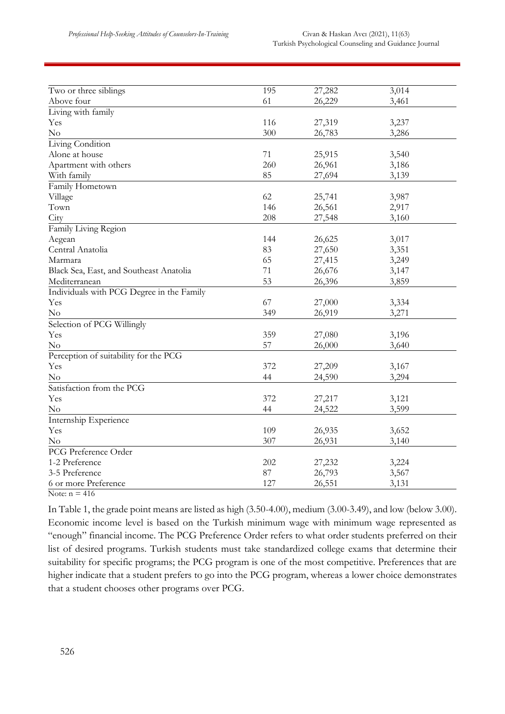| Two or three siblings                     | 195 | 27,282 | 3,014 |
|-------------------------------------------|-----|--------|-------|
| Above four                                | 61  | 26,229 | 3,461 |
| Living with family                        |     |        |       |
| Yes                                       | 116 | 27,319 | 3,237 |
| $\rm No$                                  | 300 | 26,783 | 3,286 |
| Living Condition                          |     |        |       |
| Alone at house                            | 71  | 25,915 | 3,540 |
| Apartment with others                     | 260 | 26,961 | 3,186 |
| With family                               | 85  | 27,694 | 3,139 |
| Family Hometown                           |     |        |       |
| Village                                   | 62  | 25,741 | 3,987 |
| Town                                      | 146 | 26,561 | 2,917 |
| City                                      | 208 | 27,548 | 3,160 |
| Family Living Region                      |     |        |       |
| Aegean                                    | 144 | 26,625 | 3,017 |
| Central Anatolia                          | 83  | 27,650 | 3,351 |
| Marmara                                   | 65  | 27,415 | 3,249 |
| Black Sea, East, and Southeast Anatolia   | 71  | 26,676 | 3,147 |
| Mediterranean                             | 53  | 26,396 | 3,859 |
| Individuals with PCG Degree in the Family |     |        |       |
| Yes                                       | 67  | 27,000 | 3,334 |
| $\rm No$                                  | 349 | 26,919 | 3,271 |
| Selection of PCG Willingly                |     |        |       |
| Yes                                       | 359 | 27,080 | 3,196 |
| No                                        | 57  | 26,000 | 3,640 |
| Perception of suitability for the PCG     |     |        |       |
| Yes                                       | 372 | 27,209 | 3,167 |
| $\rm No$                                  | 44  | 24,590 | 3,294 |
| Satisfaction from the PCG                 |     |        |       |
| Yes                                       | 372 | 27,217 | 3,121 |
| No                                        | 44  | 24,522 | 3,599 |
| Internship Experience                     |     |        |       |
| Yes                                       | 109 | 26,935 | 3,652 |
| No                                        | 307 | 26,931 | 3,140 |
| PCG Preference Order                      |     |        |       |
| 1-2 Preference                            | 202 | 27,232 | 3,224 |
| 3-5 Preference                            | 87  | 26,793 | 3,567 |
| 6 or more Preference                      | 127 | 26,551 | 3,131 |
|                                           |     |        |       |

Note:  $n = 416$ 

In Table 1, the grade point means are listed as high (3.50-4.00), medium (3.00-3.49), and low (below 3.00). Economic income level is based on the Turkish minimum wage with minimum wage represented as "enough" financial income. The PCG Preference Order refers to what order students preferred on their list of desired programs. Turkish students must take standardized college exams that determine their suitability for specific programs; the PCG program is one of the most competitive. Preferences that are higher indicate that a student prefers to go into the PCG program, whereas a lower choice demonstrates that a student chooses other programs over PCG.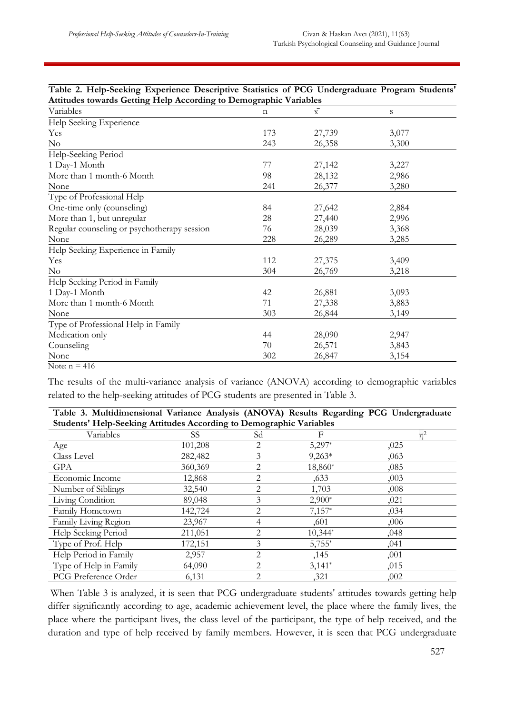| Table 2. Help-Seeking Experience Descriptive Statistics of PCG Undergraduate Program Students' |             |                |             |
|------------------------------------------------------------------------------------------------|-------------|----------------|-------------|
| Attitudes towards Getting Help According to Demographic Variables                              |             |                |             |
| Variables                                                                                      | $\mathbf n$ | $\overline{X}$ | $\mathbf S$ |
| Help Seeking Experience                                                                        |             |                |             |
| Yes                                                                                            | 173         | 27,739         | 3,077       |
| No                                                                                             | 243         | 26,358         | 3,300       |
| Help-Seeking Period                                                                            |             |                |             |
| 1 Day-1 Month                                                                                  | 77          | 27,142         | 3,227       |
| More than 1 month-6 Month                                                                      | 98          | 28,132         | 2,986       |
| None                                                                                           | 241         | 26,377         | 3,280       |
| Type of Professional Help                                                                      |             |                |             |
| One-time only (counseling)                                                                     | 84          | 27,642         | 2,884       |
| More than 1, but unregular                                                                     | 28          | 27,440         | 2,996       |
| Regular counseling or psychotherapy session                                                    | 76          | 28,039         | 3,368       |
| None                                                                                           | 228         | 26,289         | 3,285       |
| Help Seeking Experience in Family                                                              |             |                |             |
| Yes                                                                                            | 112         | 27,375         | 3,409       |
| $\rm No$                                                                                       | 304         | 26,769         | 3,218       |
| Help Seeking Period in Family                                                                  |             |                |             |
| 1 Day-1 Month                                                                                  | 42          | 26,881         | 3,093       |
| More than 1 month-6 Month                                                                      | 71          | 27,338         | 3,883       |
| None                                                                                           | 303         | 26,844         | 3,149       |
| Type of Professional Help in Family                                                            |             |                |             |
| Medication only                                                                                | 44          | 28,090         | 2,947       |
| Counseling                                                                                     | 70          | 26,571         | 3,843       |
| None                                                                                           | 302         | 26,847         | 3,154       |
| Note: $n = 416$                                                                                |             |                |             |

The results of the multi-variance analysis of variance (ANOVA) according to demographic variables related to the help-seeking attitudes of PCG students are presented in Table 3.

| Table 3. Multidimensional Variance Analysis (ANOVA) Results Regarding PCG Undergraduate |  |  |  |  |
|-----------------------------------------------------------------------------------------|--|--|--|--|
| <b>Students' Help-Seeking Attitudes According to Demographic Variables</b>              |  |  |  |  |

| $\overline{\phantom{a}}$<br>Variables | ె<br><b>SS</b> | - 8 T<br>Sd    | F         | $n^2$ |
|---------------------------------------|----------------|----------------|-----------|-------|
| Age                                   | 101,208        | 2              | $5,297*$  | ,025  |
| Class Level                           | 282,482        | 3              | $9,263*$  | ,063  |
| <b>GPA</b>                            | 360,369        | $\overline{2}$ | 18,860*   | ,085  |
| Economic Income                       | 12,868         | $\overline{2}$ | ,633      | ,003  |
| Number of Siblings                    | 32,540         | $\overline{2}$ | 1,703     | ,008  |
| Living Condition                      | 89,048         | 3              | $2,900*$  | ,021  |
| Family Hometown                       | 142,724        | 2              | $7,157*$  | ,034  |
| Family Living Region                  | 23,967         | 4              | ,601      | ,006  |
| Help Seeking Period                   | 211,051        | $\overline{2}$ | $10,344*$ | ,048  |
| Type of Prof. Help                    | 172,151        | 3              | $5,755*$  | ,041  |
| Help Period in Family                 | 2,957          | 2              | ,145      | ,001  |
| Type of Help in Family                | 64,090         | 2              | $3,141*$  | ,015  |
| PCG Preference Order                  | 6,131          | 2              | ,321      | ,002  |

When Table 3 is analyzed, it is seen that PCG undergraduate students' attitudes towards getting help differ significantly according to age, academic achievement level, the place where the family lives, the place where the participant lives, the class level of the participant, the type of help received, and the duration and type of help received by family members. However, it is seen that PCG undergraduate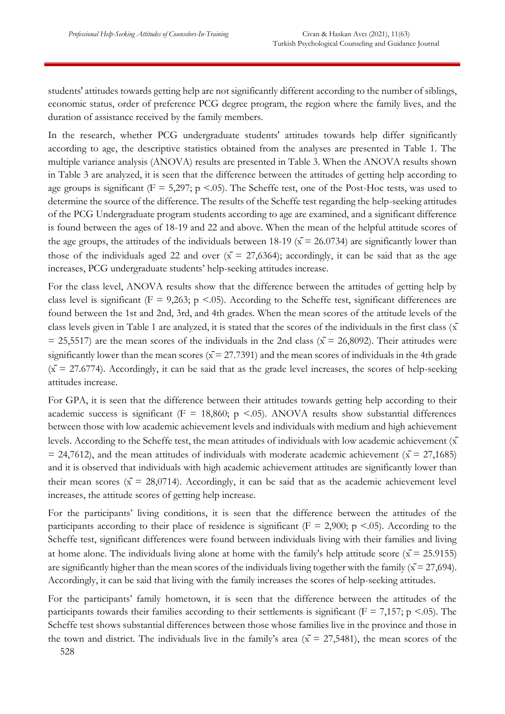students' attitudes towards getting help are not significantly different according to the number of siblings, economic status, order of preference PCG degree program, the region where the family lives, and the duration of assistance received by the family members.

In the research, whether PCG undergraduate students' attitudes towards help differ significantly according to age, the descriptive statistics obtained from the analyses are presented in Table 1. The multiple variance analysis (ANOVA) results are presented in Table 3. When the ANOVA results shown in Table 3 are analyzed, it is seen that the difference between the attitudes of getting help according to age groups is significant ( $F = 5,297$ ;  $p \le 0.05$ ). The Scheffe test, one of the Post-Hoc tests, was used to determine the source of the difference. The results of the Scheffe test regarding the help-seeking attitudes of the PCG Undergraduate program students according to age are examined, and a significant difference is found between the ages of 18-19 and 22 and above. When the mean of the helpful attitude scores of the age groups, the attitudes of the individuals between 18-19 ( $\bar{x}$  = 26.0734) are significantly lower than those of the individuals aged 22 and over  $(\bar{x} = 27,6364)$ ; accordingly, it can be said that as the age increases, PCG undergraduate students' help-seeking attitudes increase.

For the class level, ANOVA results show that the difference between the attitudes of getting help by class level is significant ( $F = 9,263$ ; p <.05). According to the Scheffe test, significant differences are found between the 1st and 2nd, 3rd, and 4th grades. When the mean scores of the attitude levels of the class levels given in Table 1 are analyzed, it is stated that the scores of the individuals in the first class  $(\bar{x})$  $=$  25,5517) are the mean scores of the individuals in the 2nd class ( $\bar{x}$  = 26,8092). Their attitudes were significantly lower than the mean scores ( $\bar{x}$  = 27.7391) and the mean scores of individuals in the 4th grade  $(\bar{x} = 27.6774)$ . Accordingly, it can be said that as the grade level increases, the scores of help-seeking attitudes increase.

For GPA, it is seen that the difference between their attitudes towards getting help according to their academic success is significant ( $F = 18,860$ ;  $p \le 0.05$ ). ANOVA results show substantial differences between those with low academic achievement levels and individuals with medium and high achievement levels. According to the Scheffe test, the mean attitudes of individuals with low academic achievement  $(\bar{x})$  $= 24,7612$ , and the mean attitudes of individuals with moderate academic achievement ( $\bar{x} = 27,1685$ ) and it is observed that individuals with high academic achievement attitudes are significantly lower than their mean scores ( $\bar{x} = 28,0714$ ). Accordingly, it can be said that as the academic achievement level increases, the attitude scores of getting help increase.

For the participants' living conditions, it is seen that the difference between the attitudes of the participants according to their place of residence is significant ( $F = 2,900$ ; p <.05). According to the Scheffe test, significant differences were found between individuals living with their families and living at home alone. The individuals living alone at home with the family's help attitude score ( $\bar{x}$  = 25.9155) are significantly higher than the mean scores of the individuals living together with the family ( $\bar{x}$  = 27,694). Accordingly, it can be said that living with the family increases the scores of help-seeking attitudes.

528 For the participants' family hometown, it is seen that the difference between the attitudes of the participants towards their families according to their settlements is significant ( $F = 7,157$ ; p <.05). The Scheffe test shows substantial differences between those whose families live in the province and those in the town and district. The individuals live in the family's area ( $\bar{x}$  = 27,5481), the mean scores of the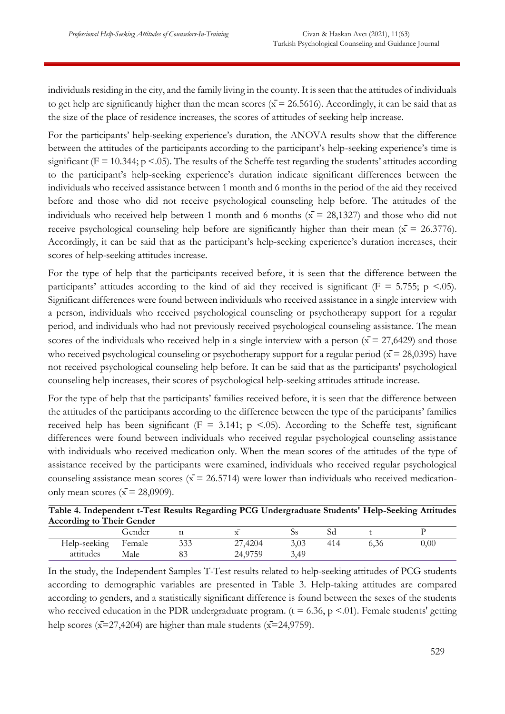individuals residing in the city, and the family living in the county. It is seen that the attitudes of individuals to get help are significantly higher than the mean scores ( $\bar{x}$  = 26.5616). Accordingly, it can be said that as the size of the place of residence increases, the scores of attitudes of seeking help increase.

For the participants' help-seeking experience's duration, the ANOVA results show that the difference between the attitudes of the participants according to the participant's help-seeking experience's time is significant ( $F = 10.344$ ;  $p < .05$ ). The results of the Scheffe test regarding the students' attitudes according to the participant's help-seeking experience's duration indicate significant differences between the individuals who received assistance between 1 month and 6 months in the period of the aid they received before and those who did not receive psychological counseling help before. The attitudes of the individuals who received help between 1 month and 6 months ( $\bar{x}$  = 28,1327) and those who did not receive psychological counseling help before are significantly higher than their mean ( $\bar{x}$  = 26.3776). Accordingly, it can be said that as the participant's help-seeking experience's duration increases, their scores of help-seeking attitudes increase.

For the type of help that the participants received before, it is seen that the difference between the participants' attitudes according to the kind of aid they received is significant ( $F = 5.755$ ; p <.05). Significant differences were found between individuals who received assistance in a single interview with a person, individuals who received psychological counseling or psychotherapy support for a regular period, and individuals who had not previously received psychological counseling assistance. The mean scores of the individuals who received help in a single interview with a person ( $\bar{x}$  = 27,6429) and those who received psychological counseling or psychotherapy support for a regular period ( $\bar{x}$  = 28,0395) have not received psychological counseling help before. It can be said that as the participants' psychological counseling help increases, their scores of psychological help-seeking attitudes attitude increase.

For the type of help that the participants' families received before, it is seen that the difference between the attitudes of the participants according to the difference between the type of the participants' families received help has been significant ( $F = 3.141$ ; p <.05). According to the Scheffe test, significant differences were found between individuals who received regular psychological counseling assistance with individuals who received medication only. When the mean scores of the attitudes of the type of assistance received by the participants were examined, individuals who received regular psychological counseling assistance mean scores ( $\bar{x}$  = 26.5714) were lower than individuals who received medicationonly mean scores ( $\bar{x}$  = 28,0909).

| Table 4. Independent t-Test Results Regarding PCG Undergraduate Students' Help-Seeking Attitudes |  |  |  |
|--------------------------------------------------------------------------------------------------|--|--|--|
| <b>According to Their Gender</b>                                                                 |  |  |  |
|                                                                                                  |  |  |  |

|              | Gender |            | $\overline{\phantom{0}}$               | ບບ   | Sd  |      |      |
|--------------|--------|------------|----------------------------------------|------|-----|------|------|
| Help-seeking | Female | 222<br>333 | ,4204<br>n<br>$\overline{\phantom{0}}$ | 3,03 | 414 | 6,36 | 0,00 |
| attitudes    | Male   | ಀಀ         | 24.9756<br>∠π.                         | 3,49 |     |      |      |

In the study, the Independent Samples T-Test results related to help-seeking attitudes of PCG students according to demographic variables are presented in Table 3. Help-taking attitudes are compared according to genders, and a statistically significant difference is found between the sexes of the students who received education in the PDR undergraduate program. ( $t = 6.36$ ,  $p \le 01$ ). Female students' getting help scores ( $x=27,4204$ ) are higher than male students ( $x=24,9759$ ).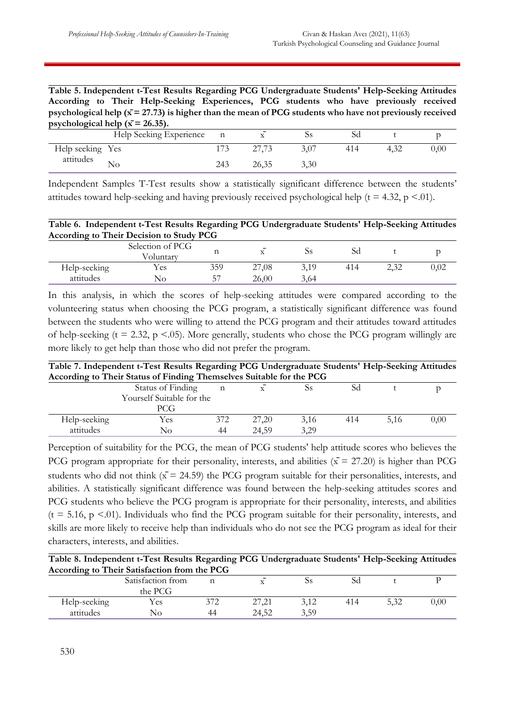**Table 5. Independent t-Test Results Regarding PCG Undergraduate Students' Help-Seeking Attitudes According to Their Help-Seeking Experiences, PCG students who have previously received psychological help (** $\bar{x}$  **= 27.73) is higher than the mean of PCG students who have not previously received psychological help**  $(\bar{x} = 26.35)$ **.** 

|                  | Help Seeking Experience | $\mathbf{n}$ |       | ⊾৴៶  | SС  |      |
|------------------|-------------------------|--------------|-------|------|-----|------|
| Help seeking Yes |                         |              |       |      | 414 | 0.00 |
| attitudes        | NΟ                      | 243          | 26,35 | 3,30 |     |      |

Independent Samples T-Test results show a statistically significant difference between the students' attitudes toward help-seeking and having previously received psychological help ( $t = 4.32$ ,  $p < .01$ ).

**Table 6. Independent t-Test Results Regarding PCG Undergraduate Students' Help-Seeking Attitudes According to Their Decision to Study PCG**

|              | Selection of PCG<br>Voluntary | ᅭ       | $\overline{\phantom{0}}$ | ບວ   | SC  |               |      |
|--------------|-------------------------------|---------|--------------------------|------|-----|---------------|------|
| Help-seeking | Y es                          | 359     | 27,08                    | 3,19 | 414 | 22<br>كالمروك | 0.02 |
| attitudes    | No                            | 57<br>╯ | 26,00                    | 3.64 |     |               |      |

In this analysis, in which the scores of help-seeking attitudes were compared according to the volunteering status when choosing the PCG program, a statistically significant difference was found between the students who were willing to attend the PCG program and their attitudes toward attitudes of help-seeking ( $t = 2.32$ ,  $p < .05$ ). More generally, students who chose the PCG program willingly are more likely to get help than those who did not prefer the program.

| Table 7. Independent t-Test Results Regarding PCG Undergraduate Students' Help-Seeking Attitudes |  |
|--------------------------------------------------------------------------------------------------|--|
| According to Their Status of Finding Themselves Suitable for the PCG                             |  |

|              | Status of Finding         |     |       | ບວ   | SC  |      |      |
|--------------|---------------------------|-----|-------|------|-----|------|------|
|              | Yourself Suitable for the |     |       |      |     |      |      |
|              | PCG                       |     |       |      |     |      |      |
| Help-seeking | Yes                       | 372 | 27,20 | 3,16 | 414 | 5,16 | 0,00 |
| attitudes    | No                        | 44  | 24,59 | 3,29 |     |      |      |

Perception of suitability for the PCG, the mean of PCG students' help attitude scores who believes the PCG program appropriate for their personality, interests, and abilities ( $\bar{x}$  = 27.20) is higher than PCG students who did not think  $(x = 24.59)$  the PCG program suitable for their personalities, interests, and abilities. A statistically significant difference was found between the help-seeking attitudes scores and PCG students who believe the PCG program is appropriate for their personality, interests, and abilities  $(t = 5.16, p \le 01)$ . Individuals who find the PCG program suitable for their personality, interests, and skills are more likely to receive help than individuals who do not see the PCG program as ideal for their characters, interests, and abilities.

| Table 8. Independent t-Test Results Regarding PCG Undergraduate Students' Help-Seeking Attitudes |  |  |  |
|--------------------------------------------------------------------------------------------------|--|--|--|
| According to Their Satisfaction from the PCG                                                     |  |  |  |

|              | Satisfaction from |     |                                    | ບວ   | SC  |      |      |  |  |  |
|--------------|-------------------|-----|------------------------------------|------|-----|------|------|--|--|--|
|              | the PCG           |     |                                    |      |     |      |      |  |  |  |
| Help-seeking | Y es              | 270 | $\sim$ $\sim$ $\sim$ $\sim$ $\sim$ | 3,12 | 414 | 5,32 | 0.00 |  |  |  |
| attitudes    | No                | 44  | 24,52                              | 3,59 |     |      |      |  |  |  |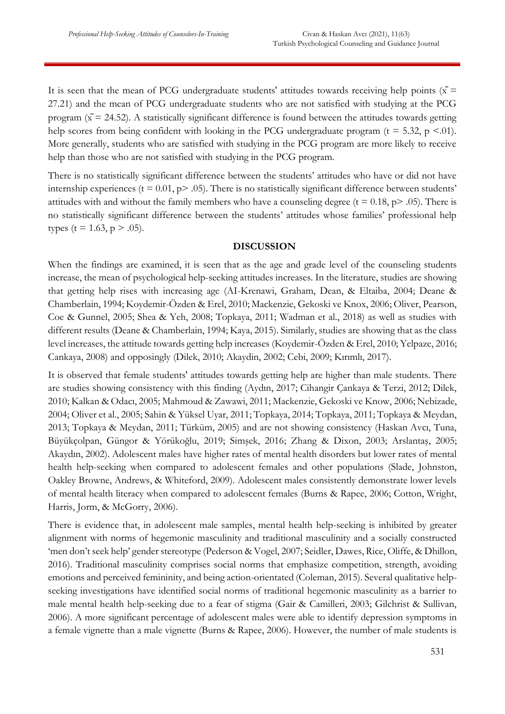It is seen that the mean of PCG undergraduate students' attitudes towards receiving help points ( $\bar{x}$  = 27.21) and the mean of PCG undergraduate students who are not satisfied with studying at the PCG program ( $\bar{x}$  = 24.52). A statistically significant difference is found between the attitudes towards getting help scores from being confident with looking in the PCG undergraduate program ( $t = 5.32$ ,  $p \le 0.01$ ). More generally, students who are satisfied with studying in the PCG program are more likely to receive help than those who are not satisfied with studying in the PCG program.

There is no statistically significant difference between the students' attitudes who have or did not have internship experiences ( $t = 0.01$ ,  $p > .05$ ). There is no statistically significant difference between students' attitudes with and without the family members who have a counseling degree ( $t = 0.18$ ,  $p > .05$ ). There is no statistically significant difference between the students' attitudes whose families' professional help types (t = 1.63, p > .05).

### **DISCUSSION**

When the findings are examined, it is seen that as the age and grade level of the counseling students increase, the mean of psychological help-seeking attitudes increases. In the literature, studies are showing that getting help rises with increasing age (AI-Krenawi, Graham, Dean, & Eltaiba, 2004; Deane & Chamberlain, 1994; Koydemir-Özden & Erel, 2010; Mackenzie, Gekoski ve Knox, 2006; Oliver, Pearson, Coe & Gunnel, 2005; Shea & Yeh, 2008; Topkaya, 2011; Wadman et al., 2018) as well as studies with different results (Deane & Chamberlain, 1994; Kaya, 2015). Similarly, studies are showing that as the class level increases, the attitude towards getting help increases (Koydemir-Özden & Erel, 2010; Yelpaze, 2016; Cankaya, 2008) and opposingly (Dilek, 2010; Akaydin, 2002; Cebi, 2009; Kırımlı, 2017).

It is observed that female students' attitudes towards getting help are higher than male students. There are studies showing consistency with this finding (Aydın, 2017; Cihangir Çankaya & Terzi, 2012; Dilek, 2010; Kalkan & Odacı, 2005; Mahmoud & Zawawi, 2011; Mackenzie, Gekoski ve Know, 2006; Nebizade, 2004; Oliver et al., 2005; Sahin & Yüksel Uyar, 2011; Topkaya, 2014; Topkaya, 2011; Topkaya & Meydan, 2013; Topkaya & Meydan, 2011; Türküm, 2005) and are not showing consistency (Haskan Avcı, Tuna, Büyükçolpan, Güngor & Yörükoğlu, 2019; Simşek, 2016; Zhang & Dixon, 2003; Arslantaş, 2005; Akaydın, 2002). Adolescent males have higher rates of mental health disorders but lower rates of mental health help-seeking when compared to adolescent females and other populations (Slade, Johnston, Oakley Browne, Andrews, & Whiteford, 2009). Adolescent males consistently demonstrate lower levels of mental health literacy when compared to adolescent females (Burns & Rapee, 2006; Cotton, Wright, Harris, Jorm, & McGorry, 2006).

There is evidence that, in adolescent male samples, mental health help-seeking is inhibited by greater alignment with norms of hegemonic masculinity and traditional masculinity and a socially constructed 'men don't seek help' gender stereotype (Pederson & Vogel, 2007; Seidler, Dawes, Rice, Oliffe, & Dhillon, 2016). Traditional masculinity comprises social norms that emphasize competition, strength, avoiding emotions and perceived femininity, and being action-orientated (Coleman, 2015). Several qualitative helpseeking investigations have identified social norms of traditional hegemonic masculinity as a barrier to male mental health help-seeking due to a fear of stigma (Gair & Camilleri, 2003; Gilchrist & Sullivan, 2006). A more significant percentage of adolescent males were able to identify depression symptoms in a female vignette than a male vignette (Burns & Rapee, 2006). However, the number of male students is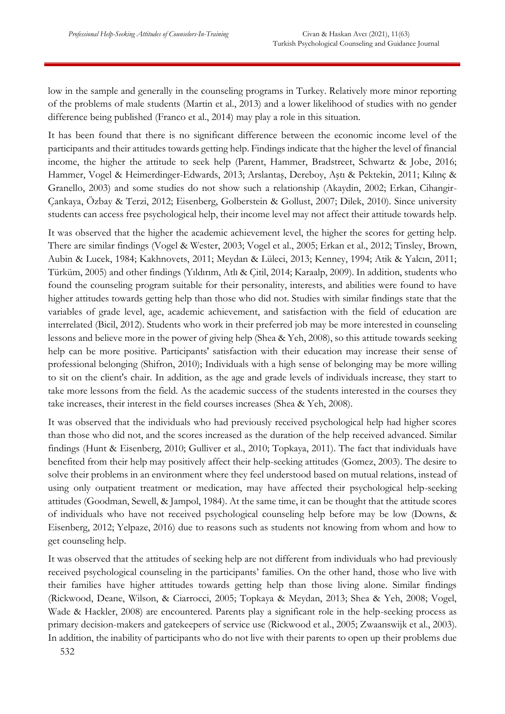low in the sample and generally in the counseling programs in Turkey. Relatively more minor reporting of the problems of male students (Martin et al., 2013) and a lower likelihood of studies with no gender difference being published (Franco et al., 2014) may play a role in this situation.

It has been found that there is no significant difference between the economic income level of the participants and their attitudes towards getting help. Findings indicate that the higher the level of financial income, the higher the attitude to seek help (Parent, Hammer, Bradstreet, Schwartz & Jobe, 2016; Hammer, Vogel & Heimerdinger-Edwards, 2013; Arslantaş, Dereboy, Aştı & Pektekin, 2011; Kılınç & Granello, 2003) and some studies do not show such a relationship (Akaydin, 2002; Erkan, Cihangir-Çankaya, Özbay & Terzi, 2012; Eisenberg, Golberstein & Gollust, 2007; Dilek, 2010). Since university students can access free psychological help, their income level may not affect their attitude towards help.

It was observed that the higher the academic achievement level, the higher the scores for getting help. There are similar findings (Vogel & Wester, 2003; Vogel et al., 2005; Erkan et al., 2012; Tinsley, Brown, Aubin & Lucek, 1984; Kakhnovets, 2011; Meydan & Lüleci, 2013; Kenney, 1994; Atik & Yalcın, 2011; Türküm, 2005) and other findings (Yıldırım, Atlı & Çitil, 2014; Karaalp, 2009). In addition, students who found the counseling program suitable for their personality, interests, and abilities were found to have higher attitudes towards getting help than those who did not. Studies with similar findings state that the variables of grade level, age, academic achievement, and satisfaction with the field of education are interrelated (Bicil, 2012). Students who work in their preferred job may be more interested in counseling lessons and believe more in the power of giving help (Shea & Yeh, 2008), so this attitude towards seeking help can be more positive. Participants' satisfaction with their education may increase their sense of professional belonging (Shifron, 2010); Individuals with a high sense of belonging may be more willing to sit on the client's chair. In addition, as the age and grade levels of individuals increase, they start to take more lessons from the field. As the academic success of the students interested in the courses they take increases, their interest in the field courses increases (Shea & Yeh, 2008).

It was observed that the individuals who had previously received psychological help had higher scores than those who did not, and the scores increased as the duration of the help received advanced. Similar findings (Hunt & Eisenberg, 2010; Gulliver et al., 2010; Topkaya, 2011). The fact that individuals have benefited from their help may positively affect their help-seeking attitudes (Gomez, 2003). The desire to solve their problems in an environment where they feel understood based on mutual relations, instead of using only outpatient treatment or medication, may have affected their psychological help-seeking attitudes (Goodman, Sewell, & Jampol, 1984). At the same time, it can be thought that the attitude scores of individuals who have not received psychological counseling help before may be low (Downs, & Eisenberg, 2012; Yelpaze, 2016) due to reasons such as students not knowing from whom and how to get counseling help.

It was observed that the attitudes of seeking help are not different from individuals who had previously received psychological counseling in the participants' families. On the other hand, those who live with their families have higher attitudes towards getting help than those living alone. Similar findings (Rickwood, Deane, Wilson, & Ciarrocci, 2005; Topkaya & Meydan, 2013; Shea & Yeh, 2008; Vogel, Wade & Hackler, 2008) are encountered. Parents play a significant role in the help-seeking process as primary decision-makers and gatekeepers of service use (Rickwood et al., 2005; Zwaanswijk et al., 2003). In addition, the inability of participants who do not live with their parents to open up their problems due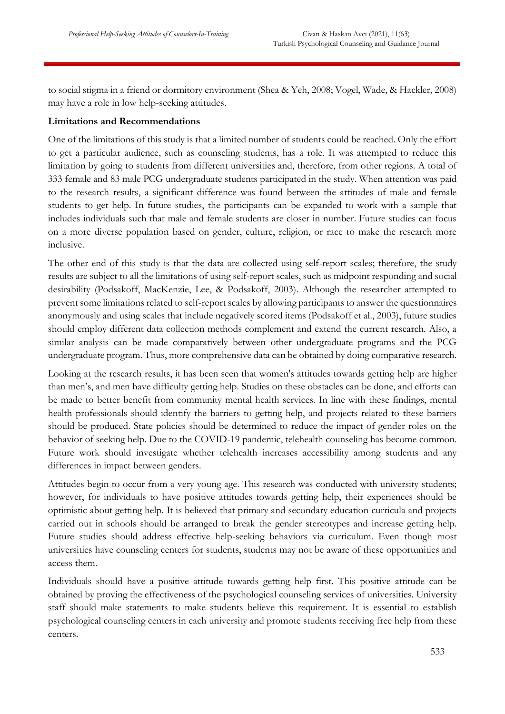to social stigma in a friend or dormitory environment (Shea & Yeh, 2008; Vogel, Wade, & Hackler, 2008) may have a role in low help-seeking attitudes.

# **Limitations and Recommendations**

One of the limitations of this study is that a limited number of students could be reached. Only the effort to get a particular audience, such as counseling students, has a role. It was attempted to reduce this limitation by going to students from different universities and, therefore, from other regions. A total of 333 female and 83 male PCG undergraduate students participated in the study. When attention was paid to the research results, a significant difference was found between the attitudes of male and female students to get help. In future studies, the participants can be expanded to work with a sample that includes individuals such that male and female students are closer in number. Future studies can focus on a more diverse population based on gender, culture, religion, or race to make the research more inclusive.

The other end of this study is that the data are collected using self-report scales; therefore, the study results are subject to all the limitations of using self-report scales, such as midpoint responding and social desirability (Podsakoff, MacKenzie, Lee, & Podsakoff, 2003). Although the researcher attempted to prevent some limitations related to self-report scales by allowing participants to answer the questionnaires anonymously and using scales that include negatively scored items (Podsakoff et al., 2003), future studies should employ different data collection methods complement and extend the current research. Also, a similar analysis can be made comparatively between other undergraduate programs and the PCG undergraduate program. Thus, more comprehensive data can be obtained by doing comparative research.

Looking at the research results, it has been seen that women's attitudes towards getting help are higher than men's, and men have difficulty getting help. Studies on these obstacles can be done, and efforts can be made to better benefit from community mental health services. In line with these findings, mental health professionals should identify the barriers to getting help, and projects related to these barriers should be produced. State policies should be determined to reduce the impact of gender roles on the behavior of seeking help. Due to the COVID-19 pandemic, telehealth counseling has become common. Future work should investigate whether telehealth increases accessibility among students and any differences in impact between genders.

Attitudes begin to occur from a very young age. This research was conducted with university students; however, for individuals to have positive attitudes towards getting help, their experiences should be optimistic about getting help. It is believed that primary and secondary education curricula and projects carried out in schools should be arranged to break the gender stereotypes and increase getting help. Future studies should address effective help-seeking behaviors via curriculum. Even though most universities have counseling centers for students, students may not be aware of these opportunities and access them.

Individuals should have a positive attitude towards getting help first. This positive attitude can be obtained by proving the effectiveness of the psychological counseling services of universities. University staff should make statements to make students believe this requirement. It is essential to establish psychological counseling centers in each university and promote students receiving free help from these centers.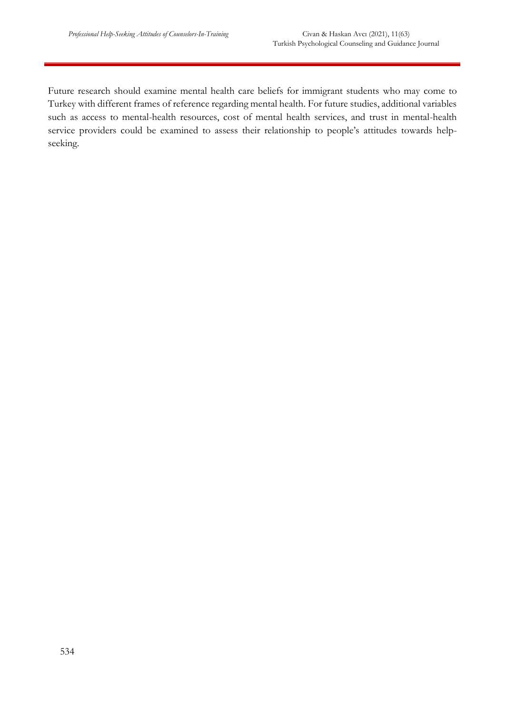Future research should examine mental health care beliefs for immigrant students who may come to Turkey with different frames of reference regarding mental health. For future studies, additional variables such as access to mental-health resources, cost of mental health services, and trust in mental-health service providers could be examined to assess their relationship to people's attitudes towards helpseeking.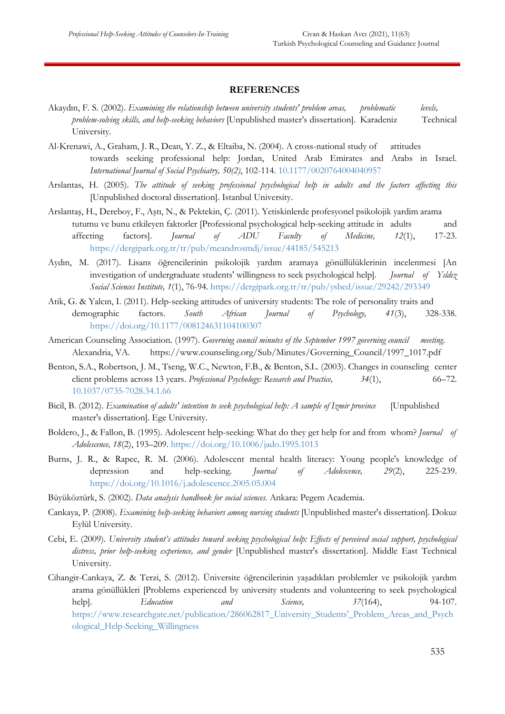#### **REFERENCES**

- Akaydın, F. S. (2002). *Examining the relationship between university students' problem areas, problematic levels, problem-solving skills, and help-seeking behaviors* [Unpublished master's dissertation]. Karadeniz Technical University.
- Al-Krenawi, A., Graham, J. R., Dean, Y. Z., & Eltaiba, N. (2004). A cross-national study of attitudes towards seeking professional help: Jordan, United Arab Emirates and Arabs in Israel. *International Journal of Social Psychiatry, 50(2)*, 102-114. [10.1177/0020764004040957](https://doi.org/10.1177/0020764004040957)
- Arslantas, H. (2005). *The attitude of seeking professional psychological help in adults and the factors affecting this* [Unpublished doctoral dissertation]. Istanbul University.
- Arslantaş, H., Dereboy, F., Aştı, N., & Pektekin, Ç. (2011). Yetiskinlerde profesyonel psikolojik yardim arama tutumu ve bunu etkileyen faktorler [Professional psychological help-seeking attitude in adults and affecting factors]. *Journal of ADU Faculty of Medicine, 12*(1), 17-23. <https://dergipark.org.tr/tr/pub/meandrosmdj/issue/44185/545213>
- Aydın, M. (2017). Lisans öğrencilerinin psikolojik yardım aramaya gönüllülüklerinin incelenmesi [An investigation of undergraduate students' willingness to seek psychological help]. *Journal of Yıldız Social Sciences Institute, 1*(1), 76-94. [https://dergipark.org.tr/tr/pub/ysbed/issue/29242/293349](https://dergipark.org.tr/tr/pub/ysbed/issue/29242/293349#article_cite)
- Atik, G. & Yalcın, I. (2011). Help-seeking attitudes of university students: The role of personality traits and demographic factors. *South African Journal of Psychology, 41*(3), 328-338. <https://doi.org/10.1177/008124631104100307>
- American Counseling Association. (1997). *Governing council minutes of the September 1997 governing council meeting*. Alexandria, VA. [https://www.counseling.org/Sub/Minutes/Governing\\_Council/1997\\_1017.pdf](https://www.counseling.org/Sub/Minutes/Governing_Council/1997_1017.pdf)
- Benton, S.A., Robertson, J. M., Tseng, W.C., Newton, F.B., & Benton, S.L. (2003). Changes in counseling center client problems across 13 years. *Professional Psychology: Research and Practice, 34*(1), 66–72. [10.1037/0735-7028.34.1.66](https://www.apa.org/pubs/journals/releases/pro-34166.pdf)
- Bicil, B. (2012). *Examination of adults' intention to seek psychological help: A sample of Izmir province* [Unpublished master's dissertation]. Ege University.
- Boldero, J., & Fallon, B. (1995). Adolescent help-seeking: What do they get help for and from whom? *Journal of Adolescence, 18*(2), 193–209. [https://doi.org/10.1006/jado.1995.1013](https://psycnet.apa.org/doi/10.1006/jado.1995.1013)
- Burns, J. R., & Rapee, R. M. (2006). Adolescent mental health literacy: Young people's knowledge of depression and help-seeking. *Journal of Adolescence, 29*(2), 225-239. <https://doi.org/10.1016/j.adolescence.2005.05.004>
- Büyüköztürk, S. (2002). *Data analysis handbook for social sciences.* Ankara: Pegem Academia.
- Cankaya, P. (2008). *Examining help-seeking behaviors among nursing students* [Unpublished master's dissertation]. Dokuz Eylül University.
- Cebi, E. (2009). *University student's attitudes toward seeking psychological help: Effects of perceived social support, psychological distress, prior help-seeking experience, and gender* [Unpublished master's dissertation]. Middle East Technical University.
- Cihangir-Cankaya, Z. & Terzi, S. (2012). Üniversite öğrencilerinin yaşadıkları problemler ve psikolojik yardım arama gönüllükleri [Problems experienced by university students and volunteering to seek psychological help]. *Education and Science, 37*(164), 94-107. [https://www.researchgate.net/publication/286062817\\_University\\_Students'\\_Problem\\_Areas\\_and\\_Psych](https://www.researchgate.net/publication/286062817_University_Students) [ological\\_Help-Seeking\\_Willingness](https://www.researchgate.net/publication/286062817_University_Students)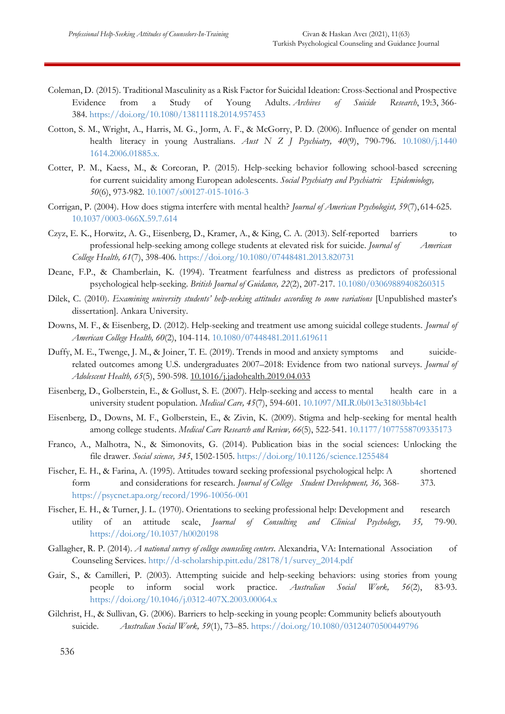- Coleman, D. (2015). Traditional Masculinity as a Risk Factor for Suicidal Ideation: Cross-Sectional and Prospective Evidence from a Study of Young Adults. *Archives of Suicide Research*, 19:3, 366- 384. [https://doi.org/10.1080/13811118.2014.957453](https://www.tandfonline.com/doi/full/10.1080/13811118.2014.957453)
- Cotton, S. M., Wright, A., Harris, M. G., Jorm, A. F., & McGorry, P. D. (2006). Influence of gender on mental health literacy in young Australians. *Aust N Z J Psychiatry, 40*(9), 790-796. [10.1080/j.1440](https://pubmed.ncbi.nlm.nih.gov/16911755/) [1614.2006.01885.x.](https://pubmed.ncbi.nlm.nih.gov/16911755/)
- Cotter, P. M., Kaess, M., & Corcoran, P. (2015). Help-seeking behavior following school-based screening for current suicidality among European adolescents. *Social Psychiatry and Psychiatric Epidemiology, 50*(6), 973-982. [10.1007/s00127-015-1016-3](https://www.nsrf.ie/wp-content/uploads/journals/2015/Help-seeking%20behaviour%20following%20school-based%20screening%20for%20current%20suicidality%20among%20European%20adolescents.pdf)
- Corrigan, P. (2004). How does stigma interfere with mental health? *Journal of American Psychologist, 59*(7), 614-625. [10.1037/0003-066X.59.7.614](https://doi.org/10.1037/0003-066x.59.7.614)
- Czyz, E. K., Horwitz, A. G., Eisenberg, D., Kramer, A., & King, C. A. (2013). Self-reported barriers to professional help-seeking among college students at elevated risk for suicide. *Journal of American College Health, 61*(7), 398-406. [https://doi.org/10.1080/07448481.2013.820731](https://psycnet.apa.org/doi/10.1080/07448481.2013.820731)
- Deane, F.P., & Chamberlain, K. (1994). Treatment fearfulness and distress as predictors of professional psychological help-seeking. *British Journal of Guidance, 22*(2), 207-217[. 10.1080/03069889408260315](https://dx.doi.org/10.1080/03069889408260315)
- Dilek, C. (2010). *Examining university students' help-seeking attitudes according to some variations* [Unpublished master's dissertation]. Ankara University.
- Downs, M. F., & Eisenberg, D. (2012). Help-seeking and treatment use among suicidal college students. *Journal of American College Health, 60*(2), 104-114. [10.1080/07448481.2011.619611](https://doi.org/10.1080/07448481.2011.619611)
- Duffy, M. E., Twenge, J. M., & Joiner, T. E. (2019). Trends in mood and anxiety symptoms and suiciderelated outcomes among U.S. undergraduates 2007–2018: Evidence from two national surveys. *Journal of Adolescent Health, 65*(5), 590-598. [10.1016/j.jadohealth.2019.04.033](https://doi.org/10.1016/j.jadohealth.2019.04.033)
- Eisenberg, D., Golberstein, E., & Gollust, S. E. (2007). Help-seeking and access to mental health care in a university student population. *Medical Care, 45*(7), 594-601. [10.1097/MLR.0b013e31803bb4c1](https://doi.org/10.1097/mlr.0b013e31803bb4c1)
- Eisenberg, D., Downs, M. F., Golberstein, E., & Zivin, K. (2009). Stigma and help-seeking for mental health among college students. *Medical Care Research and Review, 66*(5), 522-541. [10.1177/1077558709335173](https://doi.org/10.1177/1077558709335173)
- Franco, A., Malhotra, N., & Simonovits, G. (2014). Publication bias in the social sciences: Unlocking the file drawer. *Social science, 345*, 1502-1505. [https://doi.org/10.1126/science.1255484](https://psycnet.apa.org/doi/10.1126/science.1255484)
- Fischer, E. H., & Farina, A. (1995). Attitudes toward seeking professional psychological help: A shortened form and considerations for research. *Journal of College Student Development, 36,* 368- 373. <https://psycnet.apa.org/record/1996-10056-001>
- Fischer, E. H., & Turner, J. L. (1970). Orientations to seeking professional help: Development and research utility of an attitude scale, *Journal of Consulting and Clinical Psychology, 35,* 79-90. <https://doi.org/10.1037/h0020198>
- Gallagher, R. P. (2014). *A national survey of college counseling centers*. Alexandria, VA: International Association of Counseling Services. [http://d-scholarship.pitt.edu/28178/1/survey\\_2014.pdf](http://d-scholarship.pitt.edu/28178/1/survey_2014.pdf)
- Gair, S., & Camilleri, P. (2003). Attempting suicide and help-seeking behaviors: using stories from young people to inform social work practice. *Australian Social Work, 56*(2), 83-93. <https://doi.org/10.1046/j.0312-407X.2003.00064.x>
- Gilchrist, H., & Sullivan, G. (2006). Barriers to help-seeking in young people: Community beliefs aboutyouth suicide. *Australian Social Work, 59*(1), 73–85. [https://doi.org/10.1080/03124070500449796](https://psycnet.apa.org/doi/10.1080/03124070500449796)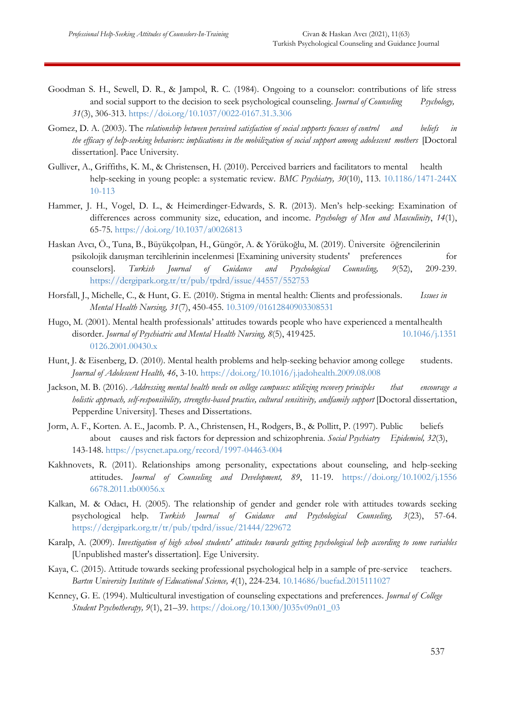- Goodman S. H., Sewell, D. R., & Jampol, R. C. (1984). Ongoing to a counselor: contributions of life stress and social support to the decision to seek psychological counseling. *Journal of Counseling Psychology, 31*(3), 306-313. [https://doi.org/10.1037/0022-0167.31.3.306](https://psycnet.apa.org/doi/10.1037/0022-0167.31.3.306)
- Gomez, D. A. (2003). The *relationship between perceived satisfaction of social supports focuses of control and beliefs in the efficacy of help-seeking behaviors: implications in the mobilization of social support among adolescent mothers* [Doctoral dissertation]. Pace University.
- Gulliver, A., Griffiths, K. M., & Christensen, H. (2010). Perceived barriers and facilitators to mental health help-seeking in young people: a systematic review. *BMC Psychiatry, 30*(10), 113. [10.1186/1471-244X](https://doi.org/10.1186/1471-244x-10-113) [10-113](https://doi.org/10.1186/1471-244x-10-113)
- Hammer, J. H., Vogel, D. L., & Heimerdinger-Edwards, S. R. (2013). Men's help-seeking: Examination of differences across community size, education, and income. *Psychology of Men and Masculinity*, *14*(1), 65-75. [https://doi.org/10.1037/a0026813](https://psycnet.apa.org/doi/10.1037/a0026813)
- Haskan Avcı, Ö., Tuna, B., Büyükçolpan, H., Güngör, A. & Yörükoğlu, M. (2019). Üniversite öğrencilerinin psikolojik danışman tercihlerinin incelenmesi [Examining university students' preferences for counselors]. *Turkish Journal of Guidance and Psychological Counseling, 9*(52), 209-239. <https://dergipark.org.tr/tr/pub/tpdrd/issue/44557/552753>
- Horsfall, J., Michelle, C., & Hunt, G. E. (2010). Stigma in mental health: Clients and professionals. *Issues in Mental Health Nursing, 31*(7), 450-455. [10.3109/01612840903308531](https://pubmed.ncbi.nlm.nih.gov/20394479/)
- Hugo, M. (2001). Mental health professionals' attitudes towards people who have experienced a mentalhealth disorder. *Journal of Psychiatric and Mental Health Nursing, 8*(5), 419425. [10.1046/j.1351](https://doi.org/10.1046/j.1351-0126.2001.00430.x) [0126.2001.00430.x](https://doi.org/10.1046/j.1351-0126.2001.00430.x)
- Hunt, J. & Eisenberg, D. (2010). Mental health problems and help-seeking behavior among college students. *Journal of Adolescent Health, 46*, 3-10.<https://doi.org/10.1016/j.jadohealth.2009.08.008>
- Jackson, M. B. (2016). *Addressing mental health needs on college campuses: utilizing recovery principles that encourage a holistic approach, self-responsibility, strengths-based practice, cultural sensitivity, andfamily support* [Doctoral dissertation, Pepperdine University]. Theses and Dissertations.
- Jorm, A. F., Korten. A. E., Jacomb. P. A., Christensen, H., Rodgers, B., & Pollitt, P. (1997). Public beliefs about causes and risk factors for depression and schizophrenia. *Social Psychiatry Epidemiol, 32*(3), 143-148.<https://psycnet.apa.org/record/1997-04463-004>
- Kakhnovets, R. (2011). Relationships among personality, expectations about counseling, and help-seeking attitudes. *Journal of Counseling and Development, 89*, 11-19. [https://doi.org/10.1002/j.1556](https://doi.org/10.1002/j.1556%096678.2011.tb00056.x) [6678.2011.tb00056.x](https://doi.org/10.1002/j.1556%096678.2011.tb00056.x)
- Kalkan, M. & Odacı, H. (2005). The relationship of gender and gender role with attitudes towards seeking psychological help. *Turkish Journal of Guidance and Psychological Counseling, 3*(23), 57-64. <https://dergipark.org.tr/tr/pub/tpdrd/issue/21444/229672>
- Karalp, A. (2009). *Investigation of high school students' attitudes towards getting psychological help according to some variables* [Unpublished master's dissertation]. Ege University.
- Kaya, C. (2015). Attitude towards seeking professional psychological help in a sample of pre-service teachers. *Bartın University Institute of Educational Science, 4*(1), 224-234. [10.14686/buefad.2015111027](https://doi.org/10.14686/buefad.2015111027)
- Kenney, G. E. (1994). Multicultural investigation of counseling expectations and preferences. *Journal of College Student Psychotherapy, 9*(1), 21–39. [https://doi.org/10.1300/J035v09n01\\_03](https://psycnet.apa.org/doi/10.1300/J035v09n01_03)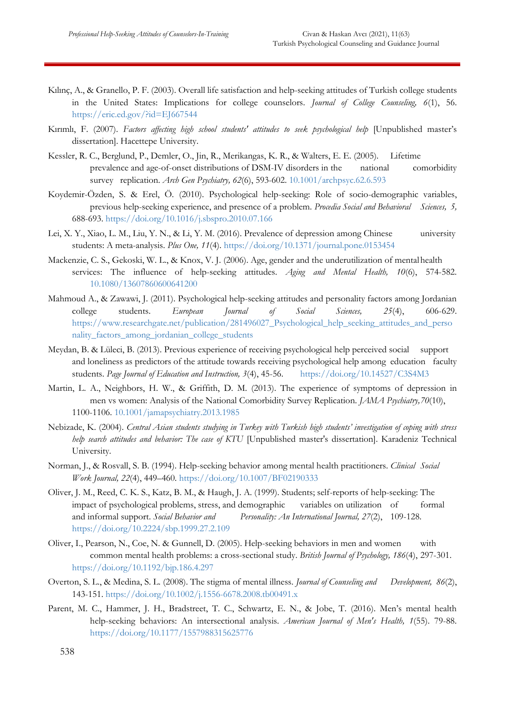- Kılınç, A., & Granello, P. F. (2003). Overall life satisfaction and help-seeking attitudes of Turkish college students in the United States: Implications for college counselors*. Journal of College Counseling, 6*(1), 56. <https://eric.ed.gov/?id=EJ667544>
- Kırımlı, F. (2007). *Factors affecting high school students' attitudes to seek psychological help* [Unpublished master's dissertation]. Hacettepe University.
- Kessler, R. C., Berglund, P., Demler, O., Jin, R., Merikangas, K. R., & Walters, E. E. (2005). Lifetime prevalence and age-of-onset distributions of DSM-IV disorders in the national comorbidity survey replication. *Arch Gen Psychiatry, 62*(6), 593-602. [10.1001/archpsyc.62.6.593](https://doi.org/10.1001/archpsyc.62.6.593)
- Koydemir-Özden, S. & Erel, Ö. (2010). Psychological help-seeking: Role of socio-demographic variables, previous help-seeking experience, and presence of a problem. *Procedia Social and Behavioral Sciences, 5,*  688-693.<https://doi.org/10.1016/j.sbspro.2010.07.166>
- Lei, X. Y., Xiao, L. M., Liu, Y. N., & Li, Y. M. (2016). Prevalence of depression among Chinese university students: A meta-analysis. *Plus One, 11*(4).<https://doi.org/10.1371/journal.pone.0153454>
- Mackenzie, C. S., Gekoski, W. L., & Knox, V. J. (2006). Age, gender and the underutilization of mentalhealth services: The influence of help-seeking attitudes. *Aging and Mental Health, 10*(6), 574-582. [10.1080/13607860600641200](https://doi.org/10.1080/13607860600641200)
- Mahmoud A., & Zawawi, J. (2011). Psychological help-seeking attitudes and personality factors among Jordanian college students. *European Journal of Social Sciences, 25*(4), 606-629. [https://www.researchgate.net/publication/281496027\\_Psychological\\_help\\_seeking\\_attitudes\\_and\\_perso](https://www.researchgate.net/publication/281496027_Psychological_help_seeking_attitudes_and_personality_factors_among_jordanian_college_students) nality factors among jordanian college students
- Meydan, B. & Lüleci, B. (2013). Previous experience of receiving psychological help perceived social support and loneliness as predictors of the attitude towards receiving psychological help among education faculty students. Page Journal of Education and Instruction, 3(4), 45-56. <https://doi.org/10.14527/C3S4M3>
- Martin, L. A., Neighbors, H. W., & Griffith, D. M. (2013). The experience of symptoms of depression in men vs women: Analysis of the National Comorbidity Survey Replication*. JAMA Psychiatry,70*(10), 1100-1106. [10.1001/jamapsychiatry.2013.1985](https://doi.org/10.1001/jamapsychiatry.2013.1985)
- Nebizade, K. (2004). *Central Asian students studying in Turkey with Turkish high students' investigation of coping with stress help search attitudes and behavior: The case of KTU* [Unpublished master's dissertation]. Karadeniz Technical University.
- Norman, J., & Rosvall, S. B. (1994). Help-seeking behavior among mental health practitioners. *Clinical Social Work Journal, 22*(4), 449–460. [https://doi.org/10.1007/BF02190333](https://psycnet.apa.org/doi/10.1007/BF02190333)
- Oliver, J. M., Reed, C. K. S., Katz, B. M., & Haugh, J. A. (1999). Students; self-reports of help-seeking: The impact of psychological problems, stress, and demographic variables on utilization of formal and informal support. *Social Behavior and Personality: An International Journal, 27*(2), 109-128. <https://doi.org/10.2224/sbp.1999.27.2.109>
- Oliver, I., Pearson, N., Coe, N. & Gunnell, D. (2005). Help-seeking behaviors in men and women with common mental health problems: a cross-sectional study. *British Journal of Psychology, 186*(4), 297-301. [https://doi.org/10.1192/bjp.186.4.297](https://psycnet.apa.org/doi/10.1192/bjp.186.4.297)
- Overton, S. L., & Medina, S. L. (2008). The stigma of mental illness. *Journal of Counseling and Development, 86*(2), 143-151. [https://doi.org/10.1002/j.1556-6678.2008.tb00491.x](https://psycnet.apa.org/doi/10.1002/j.1556-6678.2008.tb00491.x)
- Parent, M. C., Hammer, J. H., Bradstreet, T. C., Schwartz, E. N., & Jobe, T. (2016). Men's mental health help-seeking behaviors: An intersectional analysis. *American Journal of Men's Health, 1*(55). 79-88. <https://doi.org/10.1177/1557988315625776>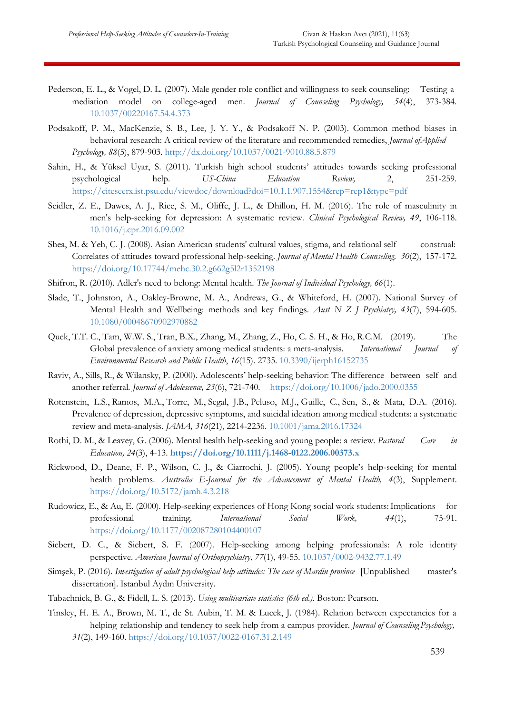- Pederson, E. L., & Vogel, D. L. (2007). Male gender role conflict and willingness to seek counseling: Testing a mediation model on college-aged men. *Journal of Counseling Psychology, 54*(4), 373-384. [10.1037/00220167.54.4.373](https://citeseerx.ist.psu.edu/viewdoc/download?doi=10.1.1.656.3714&rep=rep1&type=pdf)
- Podsakoff, P. M., MacKenzie, S. B., Lee, J. Y. Y., & Podsakoff N. P. (2003). Common method biases in behavioral research: A critical review of the literature and recommended remedies, *Journal ofApplied Psychology, 88*(5), 879-903.<http://dx.doi.org/10.1037/0021-9010.88.5.879>
- Sahin, H., & Yüksel Uyar, S. (2011). Turkish high school students' attitudes towards seeking professional psychological help. *US-China Education Review,* 2, 251-259. <https://citeseerx.ist.psu.edu/viewdoc/download?doi=10.1.1.907.1554&rep=rep1&type=pdf>
- Seidler, Z. E., Dawes, A. J., Rice, S. M., Oliffe, J. L., & Dhillon, H. M. (2016). The role of masculinity in men's help-seeking for depression: A systematic review. *Clinical Psychological Review, 49*, 106-118. [10.1016/j.cpr.2016.09.002](https://doi.org/10.1016/j.cpr.2016.09.002)
- Shea, M. & Yeh, C. J. (2008). Asian American students' cultural values, stigma, and relational self construal: Correlates of attitudes toward professional help-seeking. *Journal of Mental Health Counseling, 30*(2), 157-172. [https://doi.org/10.17744/mehc.30.2.g662g5l2r1352198](https://psycnet.apa.org/doi/10.17744/mehc.30.2.g662g5l2r1352198)
- Shifron, R. (2010). Adler's need to belong: Mental health. *The Journal of Individual Psychology, 66*(1).
- Slade, T., Johnston, A., Oakley-Browne, M. A., Andrews, G., & Whiteford, H. (2007). National Survey of Mental Health and Wellbeing: methods and key findings. *Aust N Z J Psychiatry, 43*(7), 594-605. [10.1080/00048670902970882](https://doi.org/10.1080/00048670902970882)
- Quek, T.T. C., Tam, W.W. S., Tran, B.X., Zhang, M., Zhang, Z., Ho, C. S. H., & Ho, R.C.M. (2019). The Global prevalence of anxiety among medical students: a meta-analysis. *International Journal of Environmental Research and Public Health*, *16*(15). 2735. [10.3390/ijerph16152735](https://doi.org/10.3390/ijerph16152735)
- Raviv, A., Sills, R., & Wilansky, P. (2000). Adolescents' help-seeking behavior: The difference between self and another referral*. Journal of Adolescence, 23*(6), 721-740. <https://doi.org/10.1006/jado.2000.0355>
- Rotenstein, L.S., Ramos, M.A., Torre, M., Segal, J.B., Peluso, M.J., Guille, C., Sen, S., & Mata, D.A. (2016). Prevalence of depression, depressive symptoms, and suicidal ideation among medical students: a systematic review and meta-analysis. *JAMA, 316*(21), 2214-2236. [10.1001/jama.2016.17324](https://doi.org/10.1001/jama.2016.17324)
- Rothi, D. M., & Leavey, G. (2006). Mental health help-seeking and young people: a review. *Pastoral Care in Education, 24*(3), 4-13. **<https://doi.org/10.1111/j.1468-0122.2006.00373.x>**
- Rickwood, D., Deane, F. P., Wilson, C. J., & Ciarrochi, J. (2005). Young people's help-seeking for mental health problems. *Australia E-Journal for the Advancement of Mental Health, 4*(3), Supplement. <https://doi.org/10.5172/jamh.4.3.218>
- Rudowicz, E., & Au, E. (2000). Help-seeking experiences of Hong Kong social work students: Implications for professional training. *International Social Work, 44*(1), 75-91. <https://doi.org/10.1177/002087280104400107>
- Siebert, D. C., & Siebert, S. F. (2007). Help-seeking among helping professionals: A role identity perspective. *American Journal of Orthopsychiatry, 77*(1), 49-55. [10.1037/0002-9432.77.1.49](https://doi.org/10.1037/0002-9432.77.1.49)
- Simşek, P. (2016). *Investigation of adult psychological help attitudes: The case of Mardin province* [Unpublished master's dissertation]. Istanbul Aydın University.
- Tabachnick, B. G., & Fidell, L. S. (2013). *Using multivariate statistics (6th ed.).* Boston: Pearson.
- Tinsley, H. E. A., Brown, M. T., de St. Aubin, T. M. & Lucek, J. (1984). Relation between expectancies for a helping relationship and tendency to seek help from a campus provider. *Journal of Counseling Psychology, 31*(2), 149-160. [https://doi.org/10.1037/0022-0167.31.2.149](https://psycnet.apa.org/doi/10.1037/0022-0167.31.2.149)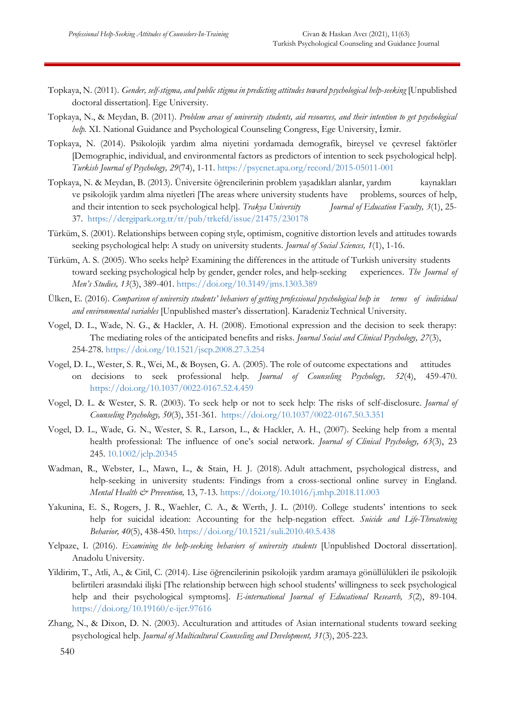- Topkaya, N. (2011). *Gender, self-stigma, and public stigma in predicting attitudes toward psychological help-seeking* [Unpublished doctoral dissertation]. Ege University.
- Topkaya, N., & Meydan, B. (2011). *Problem areas of university students, aid resources, and their intention to get psychological help.* XI. National Guidance and Psychological Counseling Congress, Ege University, İzmir.
- Topkaya, N. (2014). Psikolojik yardım alma niyetini yordamada demografik, bireysel ve çevresel faktörler [Demographic, individual, and environmental factors as predictors of intention to seek psychological help]. *Turkish Journal of Psychology, 29*(74), 1-11.<https://psycnet.apa.org/record/2015-05011-001>
- Topkaya, N. & Meydan, B. (2013). Üniversite öğrencilerinin problem yaşadıkları alanlar, yardım kaynakları ve psikolojik yardım alma niyetleri [The areas where university students have problems, sources of help, and their intention to seek psychological help]. *Trakya University Journal of Education Faculty, 3*(1), 25- 37. <https://dergipark.org.tr/tr/pub/trkefd/issue/21475/230178>
- Türküm, S. (2001). Relationships between coping style, optimism, cognitive distortion levels and attitudes towards seeking psychological help: A study on university students. *Journal of Social Sciences, 1*(1), 1-16.
- Türküm, A. S. (2005). Who seeks help? Examining the differences in the attitude of Turkish university students toward seeking psychological help by gender, gender roles, and help-seeking experiences. *The Journal of Men's Studies, 13*(3), 389-401. [https://doi.org/10.3149/jms.1303.389](https://doi.org/10.3149%2Fjms.1303.389)
- Ülken, E. (2016). *Comparison of university students' behaviors of getting professional psychological help in terms of individual and environmental variables* [Unpublished master's dissertation]. KaradenizTechnical University.
- Vogel, D. L., Wade, N. G., & Hackler, A. H. (2008). Emotional expression and the decision to seek therapy: The mediating roles of the anticipated benefits and risks. *Journal Social and Clinical Psychology, 27*(3), 254-278. [https://doi.org/10.1521/jscp.2008.27.3.254](https://psycnet.apa.org/doi/10.1521/jscp.2008.27.3.254)
- Vogel, D. L., Wester, S. R., Wei, M., & Boysen, G. A. (2005). The role of outcome expectations and attitudes on decisions to seek professional help. *Journal of Counseling Psychology, 52*(4), 459-470. <https://doi.org/10.1037/0022-0167.52.4.459>
- Vogel, D. L. & Wester, S. R. (2003). To seek help or not to seek help: The risks of self-disclosure. *Journal of Counseling Psychology, 50*(3), 351-361. [https://doi.org/10.1037/0022-0167.50.3.351](https://psycnet.apa.org/doi/10.1037/0022-0167.50.3.351)
- Vogel, D. L., Wade, G. N., Wester, S. R., Larson, L., & Hackler, A. H., (2007). Seeking help from a mental health professional: The influence of one's social network. *Journal of Clinical Psychology, 63*(3), 23 245. [10.1002/jclp.20345](https://doi.org/10.1002/jclp.20345)
- Wadman, R., Webster, L., Mawn, L., & Stain, H. J. (2018). Adult attachment, psychological distress, and help-seeking in university students: Findings from a cross-sectional online survey in England. *Mental Health & Prevention,* 13, 7-13.<https://doi.org/10.1016/j.mhp.2018.11.003>
- Yakunina, E. S., Rogers, J. R., Waehler, C. A., & Werth, J. L. (2010). College students' intentions to seek help for suicidal ideation: Accounting for the help-negation effect. *Suicide and Life-Threatening Behavior, 40*(5), 438-450. [https://doi.org/10.1521/suli.2010.40.5.438](https://psycnet.apa.org/doi/10.1521/suli.2010.40.5.438)
- Yelpaze, I. (2016). *Examining the help-seeking behaviors of university students* [Unpublished Doctoral dissertation]. Anadolu University.
- Yildirim, T., Atli, A., & Citil, C. (2014). Lise öğrencilerinin psikolojik yardım aramaya gönüllülükleri ile psikolojik belirtileri arasındaki ilişki [The relationship between high school students' willingness to seek psychological help and their psychological symptoms]. *E-international Journal of Educational Research, 5*(2), 89-104. <https://doi.org/10.19160/e-ijer.97616>
- Zhang, N., & Dixon, D. N. (2003). Acculturation and attitudes of Asian international students toward seeking psychological help. *Journal of Multicultural Counseling and Development, 31*(3), 205-223.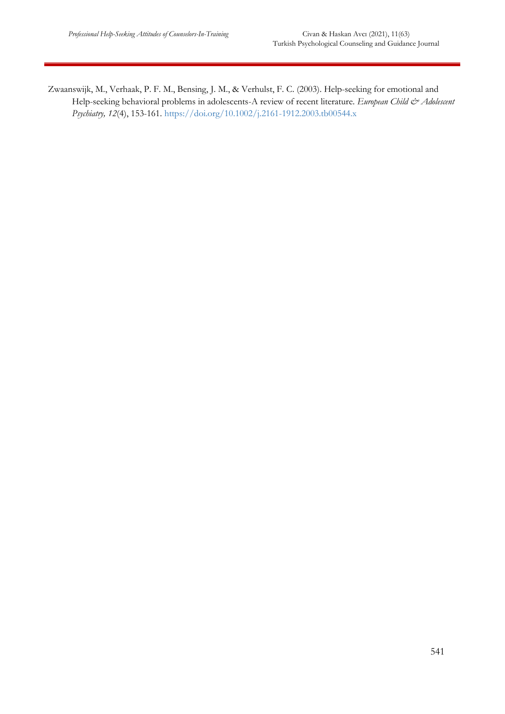Zwaanswijk, M., Verhaak, P. F. M., Bensing, J. M., & Verhulst, F. C. (2003). Help-seeking for emotional and Help-seeking behavioral problems in adolescents-A review of recent literature. *European Child & Adolescent Psychiatry, 12*(4), 153-161.<https://doi.org/10.1002/j.2161-1912.2003.tb00544.x>